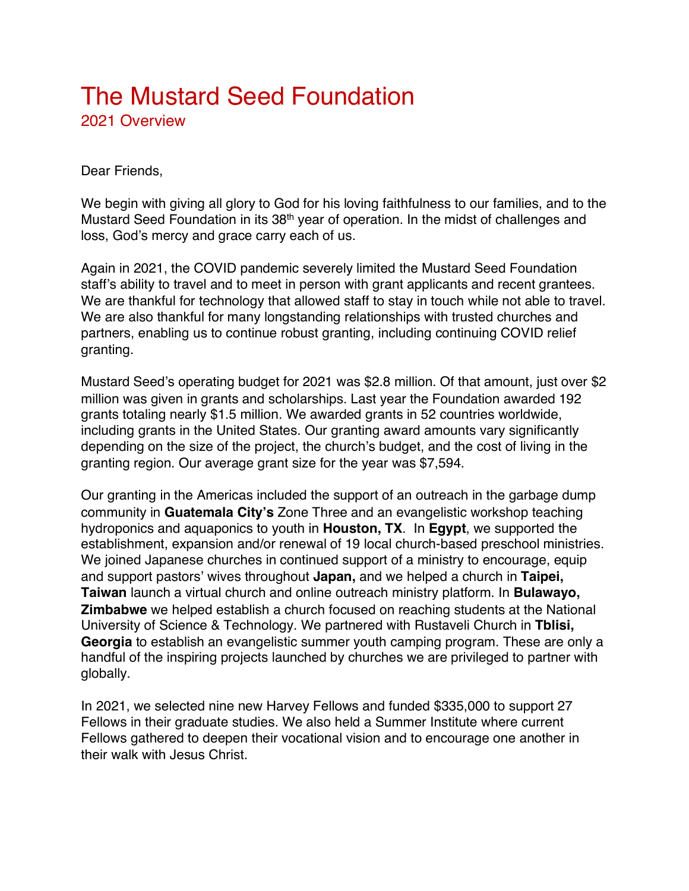## The Mustard Seed Foundation 2021 Overview

## Dear Friends,

We begin with giving all glory to God for his loving faithfulness to our families, and to the Mustard Seed Foundation in its 38<sup>th</sup> year of operation. In the midst of challenges and loss, God's mercy and grace carry each of us.

Again in 2021, the COVID pandemic severely limited the Mustard Seed Foundation staff's ability to travel and to meet in person with grant applicants and recent grantees. We are thankful for technology that allowed staff to stay in touch while not able to travel. We are also thankful for many longstanding relationships with trusted churches and partners, enabling us to continue robust granting, including continuing COVID relief granting.

Mustard Seed's operating budget for 2021 was \$2.8 million. Of that amount, just over \$2 million was given in grants and scholarships. Last year the Foundation awarded 192 grants totaling nearly \$1.5 million. We awarded grants in 52 countries worldwide, including grants in the United States. Our granting award amounts vary significantly depending on the size of the project, the church's budget, and the cost of living in the granting region. Our average grant size for the year was \$7,594.

Our granting in the Americas included the support of an outreach in the garbage dump community in **Guatemala City's** Zone Three and an evangelistic workshop teaching hydroponics and aquaponics to youth in **Houston, TX**. In **Egypt**, we supported the establishment, expansion and/or renewal of 19 local church-based preschool ministries. We joined Japanese churches in continued support of a ministry to encourage, equip and support pastors' wives throughout **Japan,** and we helped a church in **Taipei, Taiwan** launch a virtual church and online outreach ministry platform. In **Bulawayo, Zimbabwe** we helped establish a church focused on reaching students at the National University of Science & Technology. We partnered with Rustaveli Church in **Tblisi, Georgia** to establish an evangelistic summer youth camping program. These are only a handful of the inspiring projects launched by churches we are privileged to partner with globally.

In 2021, we selected nine new Harvey Fellows and funded \$335,000 to support 27 Fellows in their graduate studies. We also held a Summer Institute where current Fellows gathered to deepen their vocational vision and to encourage one another in their walk with Jesus Christ.